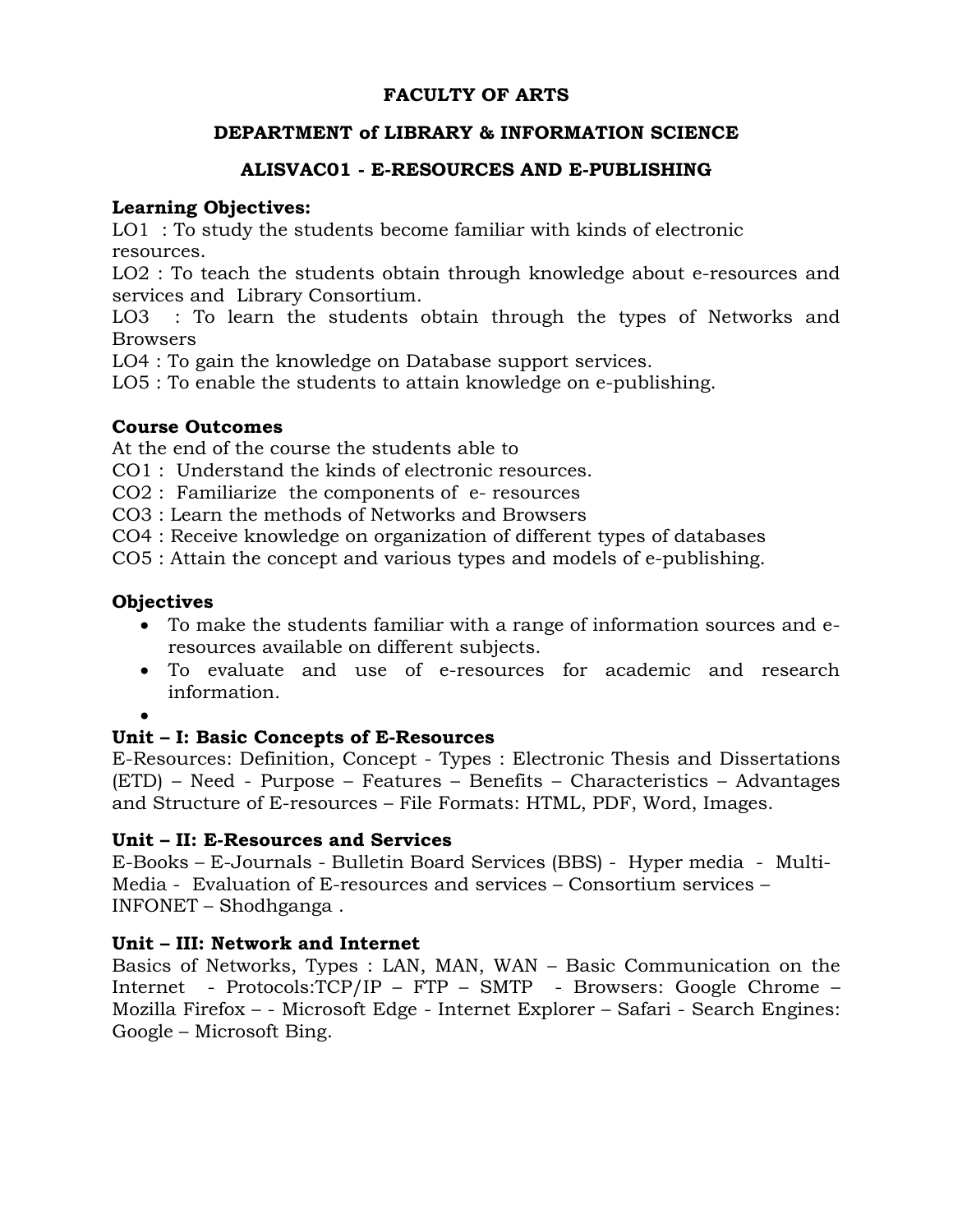# **FACULTY OF ARTS**

## **DEPARTMENT of LIBRARY & INFORMATION SCIENCE**

# **ALISVAC01 - E-RESOURCES AND E-PUBLISHING**

#### **Learning Objectives:**

LO1 : To study the students become familiar with kinds of electronic resources.

LO2 : To teach the students obtain through knowledge about e-resources and services and Library Consortium.

LO3 : To learn the students obtain through the types of Networks and Browsers

LO4 : To gain the knowledge on Database support services.

LO5 : To enable the students to attain knowledge on e-publishing.

## **Course Outcomes**

At the end of the course the students able to

CO1 : Understand the kinds of electronic resources.

CO2 : Familiarize the components of e- resources

CO3 : Learn the methods of Networks and Browsers

CO4 : Receive knowledge on organization of different types of databases

CO5 : Attain the concept and various types and models of e-publishing.

## **Objectives**

- To make the students familiar with a range of information sources and eresources available on different subjects.
- To evaluate and use of e-resources for academic and research information.
- $\bullet$

## **Unit – I: Basic Concepts of E-Resources**

E-Resources: Definition, Concept - Types : Electronic Thesis and Dissertations (ETD) – Need - Purpose – Features – Benefits – Characteristics – Advantages and Structure of E-resources – File Formats: HTML, PDF, Word, Images.

## **Unit – II: E-Resources and Services**

E-Books – E-Journals - Bulletin Board Services (BBS) - Hyper media - Multi-Media - Evaluation of E-resources and services – Consortium services – INFONET – Shodhganga .

# **Unit – III: Network and Internet**

Basics of Networks, Types : LAN, MAN, WAN – Basic Communication on the Internet - Protocols:TCP/IP – FTP – SMTP - Browsers: Google Chrome – Mozilla Firefox – - Microsoft Edge - Internet Explorer – Safari - Search Engines: Google – Microsoft Bing.